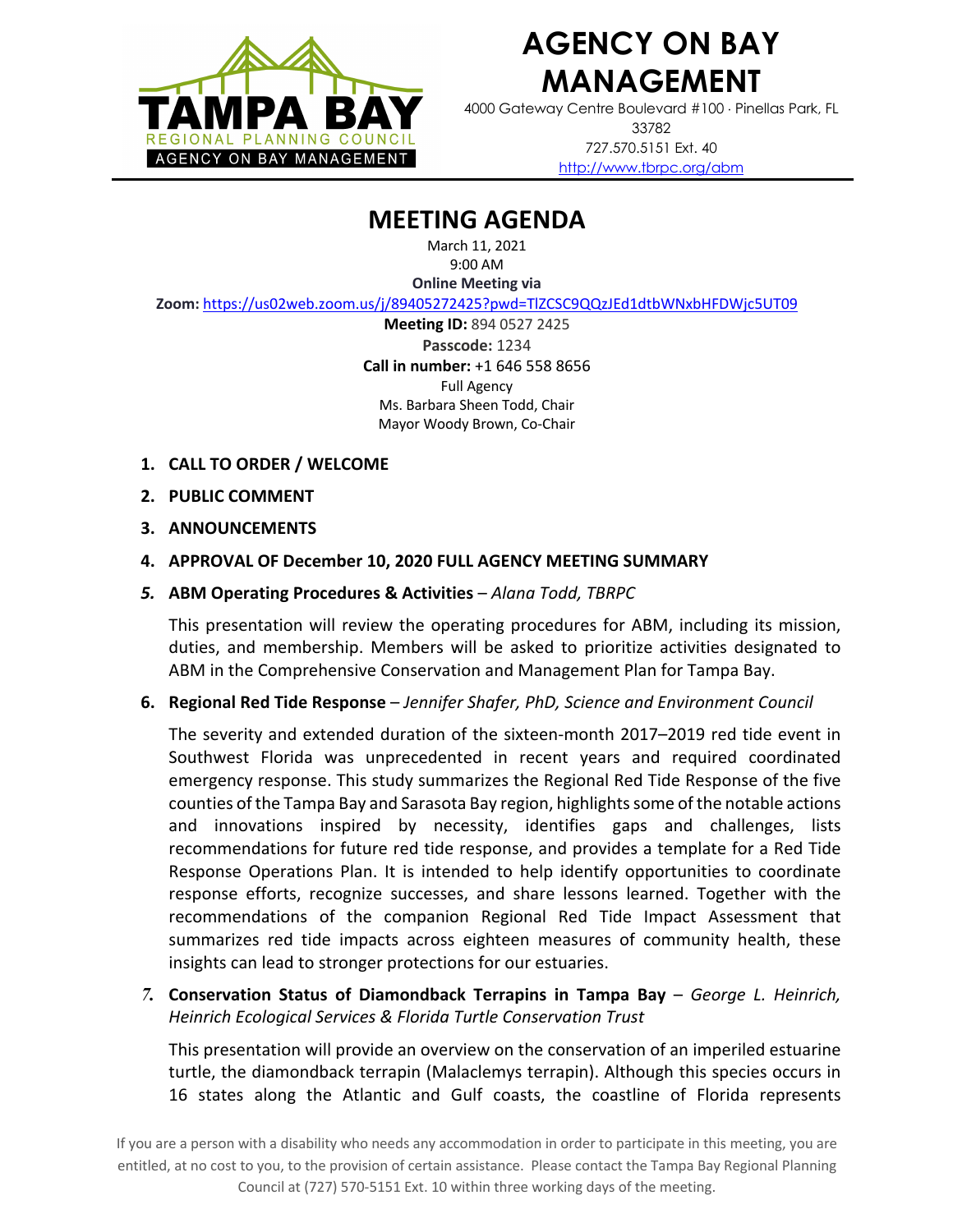

## **AGENCY ON BAY MANAGEMENT**

4000 Gateway Centre Boulevard #100 × Pinellas Park, FL 33782 727.570.5151 Ext. 40 http://www.tbrpc.org/abm

## **MEETING AGENDA**

March 11, 2021 9:00 AM

**Online Meeting via** 

**Zoom:** https://us02web.zoom.us/j/89405272425?pwd=TlZCSC9QQzJEd1dtbWNxbHFDWjc5UT09

**Meeting ID:** 894 0527 2425 **Passcode:** 1234 **Call in number:** +1 646 558 8656 Full Agency Ms. Barbara Sheen Todd, Chair Mayor Woody Brown, Co-Chair

- **1. CALL TO ORDER / WELCOME**
- **2. PUBLIC COMMENT**
- **3. ANNOUNCEMENTS**
- **4. APPROVAL OF December 10, 2020 FULL AGENCY MEETING SUMMARY**
- *5.* **ABM Operating Procedures & Activities**  *Alana Todd, TBRPC*

This presentation will review the operating procedures for ABM, including its mission, duties, and membership. Members will be asked to prioritize activities designated to ABM in the Comprehensive Conservation and Management Plan for Tampa Bay.

**6. Regional Red Tide Response** – *Jennifer Shafer, PhD, Science and Environment Council*

The severity and extended duration of the sixteen-month 2017–2019 red tide event in Southwest Florida was unprecedented in recent years and required coordinated emergency response. This study summarizes the Regional Red Tide Response of the five counties of the Tampa Bay and Sarasota Bay region, highlights some of the notable actions and innovations inspired by necessity, identifies gaps and challenges, lists recommendations for future red tide response, and provides a template for a Red Tide Response Operations Plan. It is intended to help identify opportunities to coordinate response efforts, recognize successes, and share lessons learned. Together with the recommendations of the companion Regional Red Tide Impact Assessment that summarizes red tide impacts across eighteen measures of community health, these insights can lead to stronger protections for our estuaries.

*7.* **Conservation Status of Diamondback Terrapins in Tampa Bay** – *George L. Heinrich, Heinrich Ecological Services & Florida Turtle Conservation Trust*

This presentation will provide an overview on the conservation of an imperiled estuarine turtle, the diamondback terrapin (Malaclemys terrapin). Although this species occurs in 16 states along the Atlantic and Gulf coasts, the coastline of Florida represents